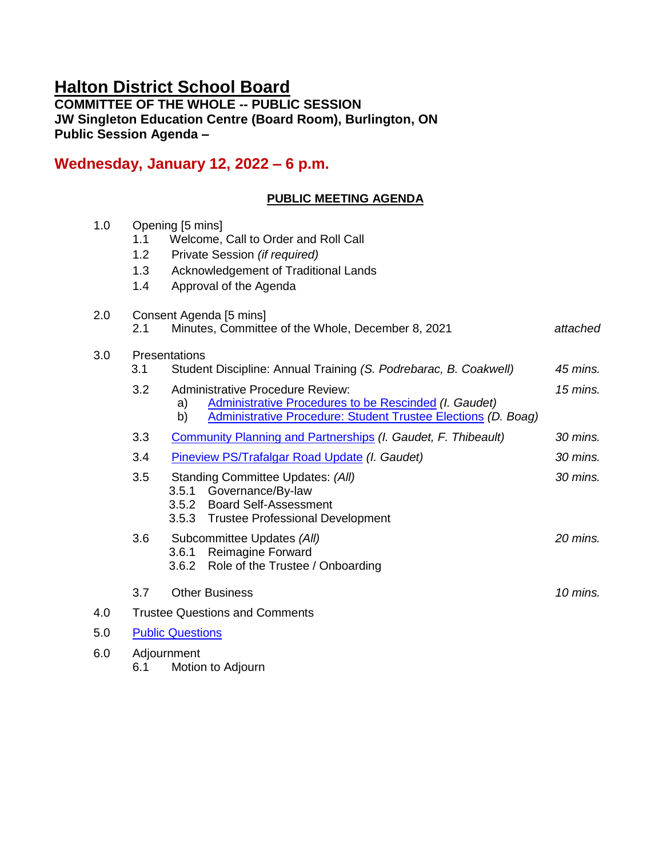# **Halton District School Board**

**COMMITTEE OF THE WHOLE -- PUBLIC SESSION JW Singleton Education Centre (Board Room), Burlington, ON Public Session Agenda –**

## **Wednesday, January 12, 2022 – 6 p.m.**

## **PUBLIC MEETING AGENDA**

| 1.0 | Opening [5 mins]                      |                                                                                                                                    |            |  |
|-----|---------------------------------------|------------------------------------------------------------------------------------------------------------------------------------|------------|--|
|     | 1.1                                   | Welcome, Call to Order and Roll Call                                                                                               |            |  |
|     | 1.2                                   | Private Session (if required)                                                                                                      |            |  |
|     | 1.3                                   | Acknowledgement of Traditional Lands                                                                                               |            |  |
|     | 1.4                                   | Approval of the Agenda                                                                                                             |            |  |
| 2.0 | Consent Agenda [5 mins]               |                                                                                                                                    |            |  |
|     | 2.1                                   | Minutes, Committee of the Whole, December 8, 2021                                                                                  | attached   |  |
| 3.0 | Presentations                         |                                                                                                                                    |            |  |
|     | 3.1                                   | Student Discipline: Annual Training (S. Podrebarac, B. Coakwell)                                                                   | 45 mins.   |  |
|     | 3.2                                   | <b>Administrative Procedure Review:</b>                                                                                            | $15$ mins. |  |
|     |                                       | Administrative Procedures to be Rescinded (I. Gaudet)<br>a)<br>Administrative Procedure: Student Trustee Elections (D. Boag)<br>b) |            |  |
|     | 3.3                                   | Community Planning and Partnerships (I. Gaudet, F. Thibeault)                                                                      | 30 mins.   |  |
|     | 3.4                                   | Pineview PS/Trafalgar Road Update (I. Gaudet)                                                                                      | 30 mins.   |  |
|     | 3.5                                   | Standing Committee Updates: (All)                                                                                                  | 30 mins.   |  |
|     |                                       | 3.5.1<br>Governance/By-law<br>3.5.2 Board Self-Assessment                                                                          |            |  |
|     |                                       | 3.5.3 Trustee Professional Development                                                                                             |            |  |
|     | 3.6                                   | Subcommittee Updates (All)                                                                                                         | 20 mins.   |  |
|     |                                       | <b>Reimagine Forward</b><br>3.6.1                                                                                                  |            |  |
|     |                                       | 3.6.2 Role of the Trustee / Onboarding                                                                                             |            |  |
|     | 3.7                                   | <b>Other Business</b>                                                                                                              | $10$ mins. |  |
| 4.0 | <b>Trustee Questions and Comments</b> |                                                                                                                                    |            |  |
| 5.0 | <b>Public Questions</b>               |                                                                                                                                    |            |  |
| 6.0 | Adjournment                           |                                                                                                                                    |            |  |

6.1 Motion to Adjourn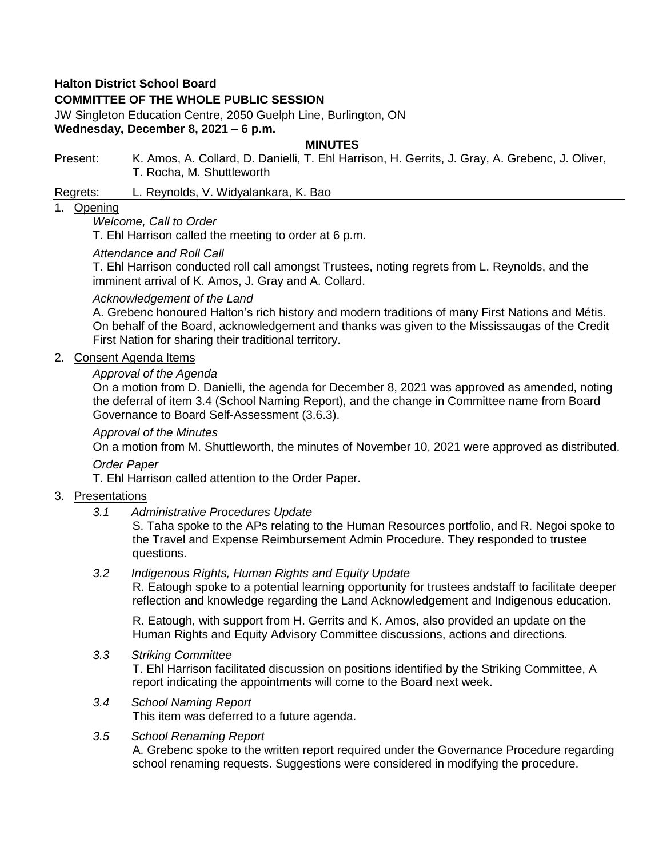## **Halton District School Board**

## **COMMITTEE OF THE WHOLE PUBLIC SESSION**

JW Singleton Education Centre, 2050 Guelph Line, Burlington, ON **Wednesday, December 8, 2021 – 6 p.m.**

#### **MINUTES**

Present: K. Amos, A. Collard, D. Danielli, T. Ehl Harrison, H. Gerrits, J. Gray, A. Grebenc, J. Oliver, T. Rocha, M. Shuttleworth

Regrets: L. Reynolds, V. Widyalankara, K. Bao

#### 1. Opening

### *Welcome, Call to Order*

T. Ehl Harrison called the meeting to order at 6 p.m.

#### *Attendance and Roll Call*

T. Ehl Harrison conducted roll call amongst Trustees, noting regrets from L. Reynolds, and the imminent arrival of K. Amos, J. Gray and A. Collard.

#### *Acknowledgement of the Land*

A. Grebenc honoured Halton's rich history and modern traditions of many First Nations and Métis. On behalf of the Board, acknowledgement and thanks was given to the Mississaugas of the Credit First Nation for sharing their traditional territory.

### 2. Consent Agenda Items

## *Approval of the Agenda*

On a motion from D. Danielli, the agenda for December 8, 2021 was approved as amended, noting the deferral of item 3.4 (School Naming Report), and the change in Committee name from Board Governance to Board Self-Assessment (3.6.3).

#### *Approval of the Minutes*

On a motion from M. Shuttleworth, the minutes of November 10, 2021 were approved as distributed.

#### *Order Paper*

T. Ehl Harrison called attention to the Order Paper.

## 3. Presentations

*3.1 Administrative Procedures Update*

S. Taha spoke to the APs relating to the Human Resources portfolio, and R. Negoi spoke to the Travel and Expense Reimbursement Admin Procedure. They responded to trustee questions.

## *3.2 Indigenous Rights, Human Rights and Equity Update*

R. Eatough spoke to a potential learning opportunity for trustees andstaff to facilitate deeper reflection and knowledge regarding the Land Acknowledgement and Indigenous education.

R. Eatough, with support from H. Gerrits and K. Amos, also provided an update on the Human Rights and Equity Advisory Committee discussions, actions and directions.

#### *3.3 Striking Committee*

T. Ehl Harrison facilitated discussion on positions identified by the Striking Committee, A report indicating the appointments will come to the Board next week.

#### *3.4 School Naming Report* This item was deferred to a future agenda.

## *3.5 School Renaming Report*

A. Grebenc spoke to the written report required under the Governance Procedure regarding school renaming requests. Suggestions were considered in modifying the procedure.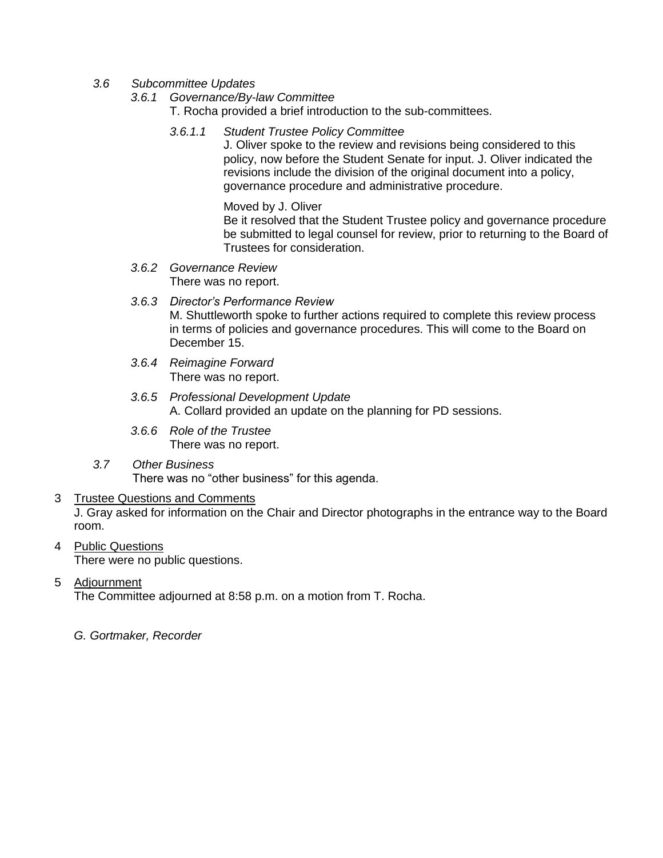- *3.6 Subcommittee Updates* 
	- *3.6.1 Governance/By-law Committee*
		- T. Rocha provided a brief introduction to the sub-committees.
		- *3.6.1.1 Student Trustee Policy Committee*

J. Oliver spoke to the review and revisions being considered to this policy, now before the Student Senate for input. J. Oliver indicated the revisions include the division of the original document into a policy, governance procedure and administrative procedure.

Moved by J. Oliver

Be it resolved that the Student Trustee policy and governance procedure be submitted to legal counsel for review, prior to returning to the Board of Trustees for consideration.

- *3.6.2 Governance Review* There was no report.
- *3.6.3 Director's Performance Review*  M. Shuttleworth spoke to further actions required to complete this review process in terms of policies and governance procedures. This will come to the Board on December 15.
- *3.6.4 Reimagine Forward* There was no report.
- *3.6.5 Professional Development Update* A. Collard provided an update on the planning for PD sessions.
- *3.6.6 Role of the Trustee* There was no report.
- *3.7 Other Business* There was no "other business" for this agenda.

## 3 Trustee Questions and Comments

J. Gray asked for information on the Chair and Director photographs in the entrance way to the Board room.

- 4 Public Questions There were no public questions.
- 5 Adjournment

The Committee adjourned at 8:58 p.m. on a motion from T. Rocha.

*G. Gortmaker, Recorder*